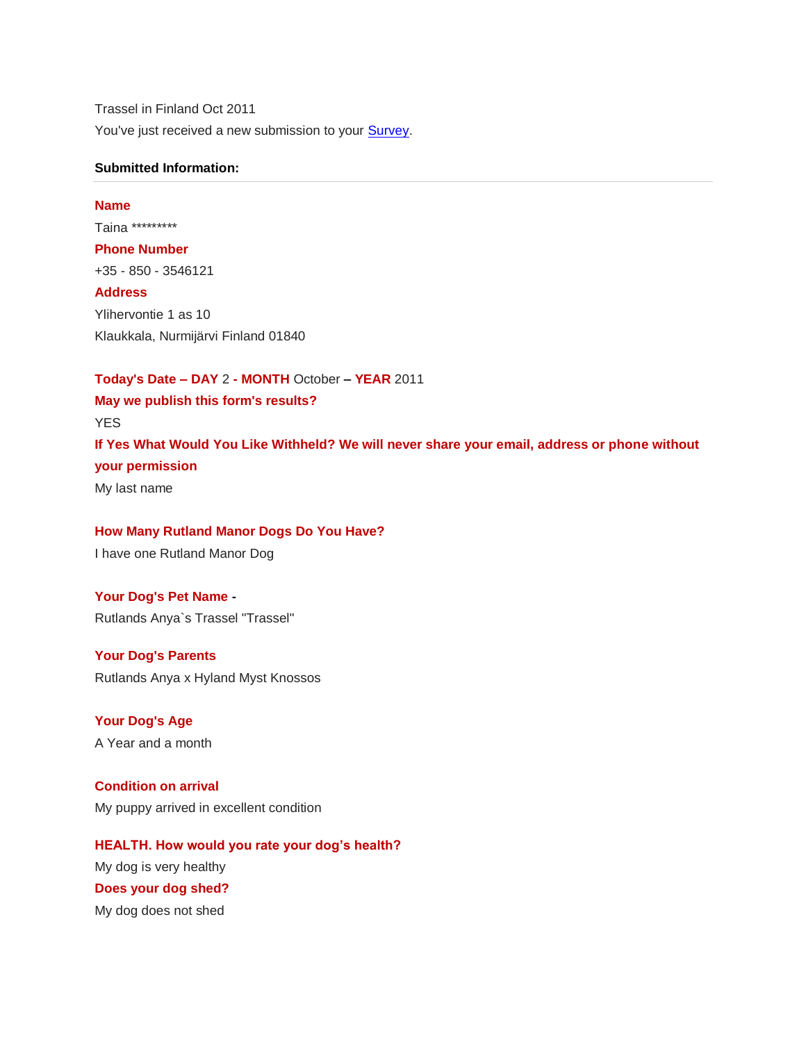Trassel in Finland Oct 2011 You've just received a new submission to your **Survey**.

#### **Submitted Information:**

# **Name** Taina \*\*\*\*\*\*\*\*\* **Phone Number** +35 - 850 - 3546121 **Address** Ylihervontie 1 as 10 Klaukkala, Nurmijärvi Finland 01840

**Today's Date – DAY** 2 **- MONTH** October **– YEAR** 2011 **May we publish this form's results?** YES **If Yes What Would You Like Withheld? We will never share your email, address or phone without your permission** My last name

**How Many Rutland Manor Dogs Do You Have?**  I have one Rutland Manor Dog

**Your Dog's Pet Name -** Rutlands Anya`s Trassel "Trassel"

**Your Dog's Parents** Rutlands Anya x Hyland Myst Knossos

**Your Dog's Age** A Year and a month

**Condition on arrival** My puppy arrived in excellent condition

**HEALTH. How would you rate your dog's health?** My dog is very healthy **Does your dog shed?** My dog does not shed